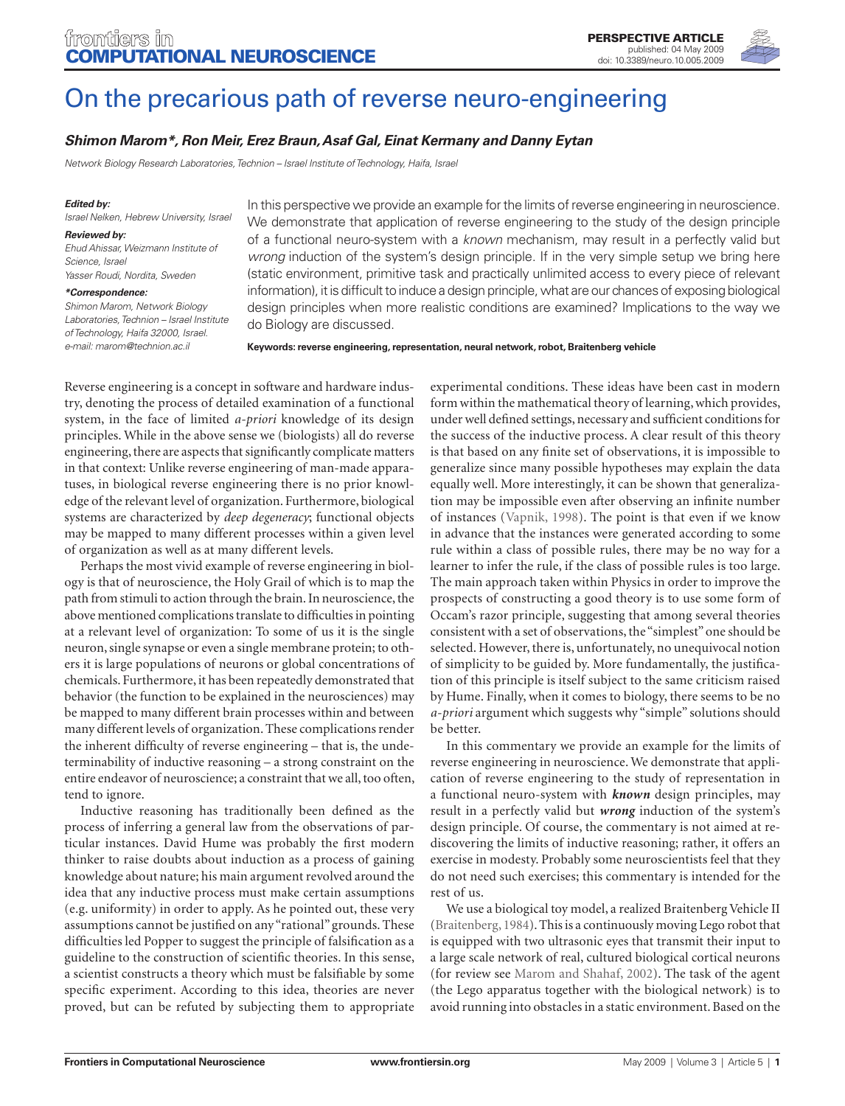

# On the precarious path of reverse neuro-engineering

## *Shimon Marom\*, Ron Meir, Erez Braun, Asaf Gal, Einat Kermany and Danny Eytan*

*Network Biology Research Laboratories, Technion – Israel Institute of Technology, Haifa, Israel*

#### *Edited by:*

*Israel Nelken, Hebrew University, Israel*

#### *Reviewed by:*

*Ehud Ahissar, Weizmann Institute of Science, Israel Yasser Roudi, Nordita, Sweden*

#### *\*Correspondence:*

*Shimon Marom, Network Biology Laboratories, Technion – Israel Institute of Technology, Haifa 32000, Israel. e-mail: marom@technion.ac.il*

In this perspective we provide an example for the limits of reverse engineering in neuroscience. We demonstrate that application of reverse engineering to the study of the design principle of a functional neuro-system with a *known* mechanism, may result in a perfectly valid but *wrong* induction of the system's design principle. If in the very simple setup we bring here (static environment, primitive task and practically unlimited access to every piece of relevant information), it is difficult to induce a design principle, what are our chances of exposing biological design principles when more realistic conditions are examined? Implications to the way we do Biology are discussed.

**Keywords: reverse engineering, representation, neural network, robot, Braitenberg vehicle**

Reverse engineering is a concept in software and hardware industry, denoting the process of detailed examination of a functional system, in the face of limited *a-priori* knowledge of its design principles. While in the above sense we (biologists) all do reverse engineering, there are aspects that significantly complicate matters in that context: Unlike reverse engineering of man-made apparatuses, in biological reverse engineering there is no prior knowledge of the relevant level of organization. Furthermore, biological systems are characterized by *deep degeneracy*; functional objects may be mapped to many different processes within a given level of organization as well as at many different levels.

Perhaps the most vivid example of reverse engineering in biology is that of neuroscience, the Holy Grail of which is to map the path from stimuli to action through the brain. In neuroscience, the above mentioned complications translate to difficulties in pointing at a relevant level of organization: To some of us it is the single neuron, single synapse or even a single membrane protein; to others it is large populations of neurons or global concentrations of chemicals. Furthermore, it has been repeatedly demonstrated that behavior (the function to be explained in the neurosciences) may be mapped to many different brain processes within and between many different levels of organization. These complications render the inherent difficulty of reverse engineering - that is, the undeterminability of inductive reasoning – a strong constraint on the entire endeavor of neuroscience; a constraint that we all, too often, tend to ignore.

Inductive reasoning has traditionally been defined as the process of inferring a general law from the observations of particular instances. David Hume was probably the first modern thinker to raise doubts about induction as a process of gaining knowledge about nature; his main argument revolved around the idea that any inductive process must make certain assumptions (e.g. uniformity) in order to apply. As he pointed out, these very assumptions cannot be justified on any "rational" grounds. These difficulties led Popper to suggest the principle of falsification as a guideline to the construction of scientific theories. In this sense, a scientist constructs a theory which must be falsifiable by some specific experiment. According to this idea, theories are never proved, but can be refuted by subjecting them to appropriate

experimental conditions. These ideas have been cast in modern form within the mathematical theory of learning, which provides, under well defined settings, necessary and sufficient conditions for the success of the inductive process. A clear result of this theory is that based on any finite set of observations, it is impossible to generalize since many possible hypotheses may explain the data equally well. More interestingly, it can be shown that generalization may be impossible even after observing an infinite number of instances (Vapnik, 1998). The point is that even if we know in advance that the instances were generated according to some rule within a class of possible rules, there may be no way for a learner to infer the rule, if the class of possible rules is too large. The main approach taken within Physics in order to improve the prospects of constructing a good theory is to use some form of Occam's razor principle, suggesting that among several theories consistent with a set of observations, the "simplest" one should be selected. However, there is, unfortunately, no unequivocal notion of simplicity to be guided by. More fundamentally, the justification of this principle is itself subject to the same criticism raised by Hume. Finally, when it comes to biology, there seems to be no *a-priori* argument which suggests why "simple" solutions should be better.

In this commentary we provide an example for the limits of reverse engineering in neuroscience. We demonstrate that application of reverse engineering to the study of representation in a functional neuro-system with *known* design principles, may result in a perfectly valid but *wrong* induction of the system's design principle. Of course, the commentary is not aimed at re discovering the limits of inductive reasoning; rather, it offers an exercise in modesty. Probably some neuroscientists feel that they do not need such exercises; this commentary is intended for the rest of us.

We use a biological toy model, a realized Braitenberg Vehicle II (Braitenberg, 1984). This is a continuously moving Lego robot that is equipped with two ultrasonic eyes that transmit their input to a large scale network of real, cultured biological cortical neurons (for review see Marom and Shahaf, 2002). The task of the agent (the Lego apparatus together with the biological network) is to avoid running into obstacles in a static environment. Based on the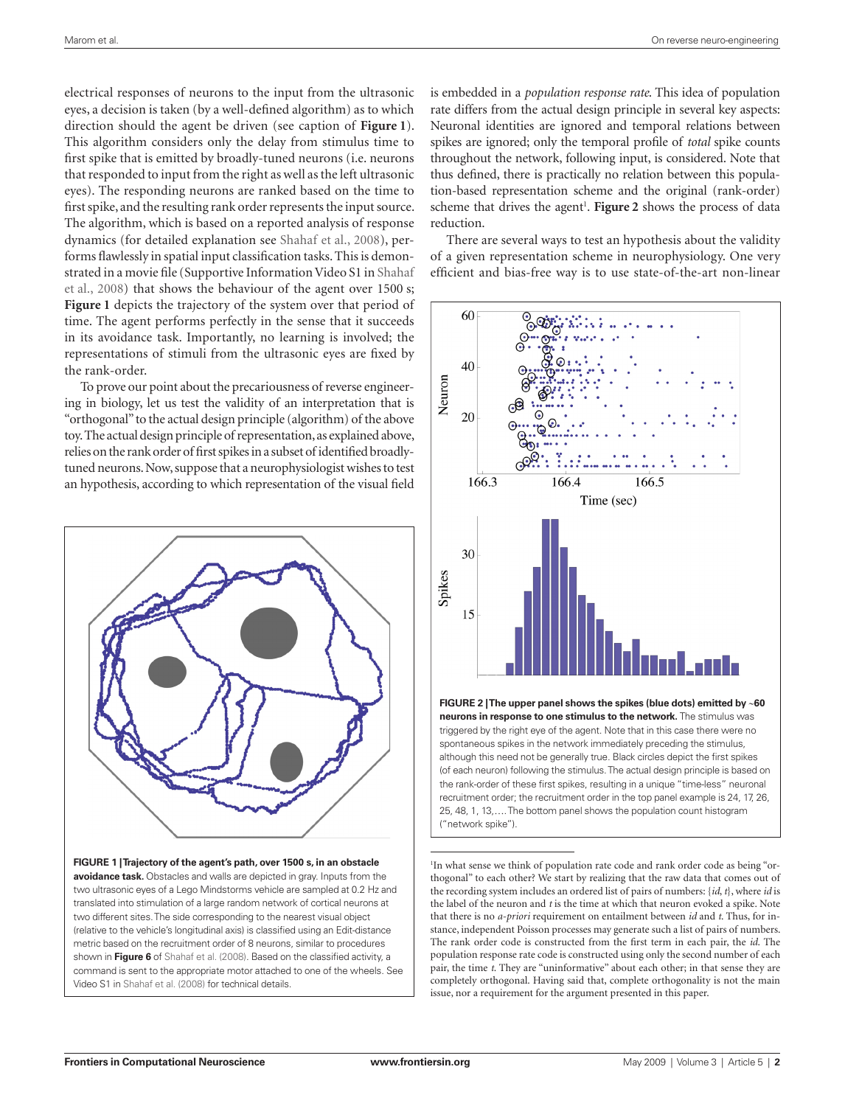electrical responses of neurons to the input from the ultrasonic eyes, a decision is taken (by a well-defined algorithm) as to which direction should the agent be driven (see caption of **Figure 1**). This algorithm considers only the delay from stimulus time to first spike that is emitted by broadly-tuned neurons (i.e. neurons that responded to input from the right as well as the left ultrasonic eyes). The responding neurons are ranked based on the time to first spike, and the resulting rank order represents the input source. The algorithm, which is based on a reported analysis of response dynamics (for detailed explanation see Shahaf et al., 2008), performs flawlessly in spatial input classification tasks. This is demonstrated in a movie file (Supportive Information Video S1 in Shahaf et al., 2008) that shows the behaviour of the agent over 1500 s; **Figure 1** depicts the trajectory of the system over that period of time. The agent performs perfectly in the sense that it succeeds in its avoidance task. Importantly, no learning is involved; the representations of stimuli from the ultrasonic eyes are fixed by the rank-order.

To prove our point about the precariousness of reverse engineering in biology, let us test the validity of an interpretation that is "orthogonal" to the actual design principle (algorithm) of the above toy. The actual design principle of representation, as explained above, relies on the rank order of first spikes in a subset of identified broadlytuned neurons. Now, suppose that a neurophysiologist wishes to test an hypothesis, according to which representation of the visual field



**FIGURE 1 | Trajectory of the agent's path, over 1500 s, in an obstacle avoidance task.** Obstacles and walls are depicted in gray. Inputs from the two ultrasonic eyes of a Lego Mindstorms vehicle are sampled at 0.2 Hz and translated into stimulation of a large random network of cortical neurons at two different sites. The side corresponding to the nearest visual object (relative to the vehicle's longitudinal axis) is classified using an Edit-distance metric based on the recruitment order of 8 neurons, similar to procedures shown in **Figure 6** of Shahaf et al. (2008). Based on the classified activity, a command is sent to the appropriate motor attached to one of the wheels. See Video S1 in Shahaf et al. (2008) for technical details.

is embedded in a *population response rate*. This idea of population rate differs from the actual design principle in several key aspects: Neuronal identities are ignored and temporal relations between spikes are ignored; only the temporal profile of *total* spike counts throughout the network, following input, is considered. Note that thus defined, there is practically no relation between this population-based representation scheme and the original (rank-order) scheme that drives the agent<sup>1</sup>. Figure 2 shows the process of data reduction.

There are several ways to test an hypothesis about the validity of a given representation scheme in neurophysiology. One very efficient and bias-free way is to use state-of-the-art non-linear



("network spike").

1 In what sense we think of population rate code and rank order code as being "orthogonal" to each other? We start by realizing that the raw data that comes out of the recording system includes an ordered list of pairs of numbers: {*id*, *t*}, where *id* is the label of the neuron and *t* is the time at which that neuron evoked a spike. Note that there is no *a-priori* requirement on entailment between *id* and *t*. Thus, for instance, independent Poisson processes may generate such a list of pairs of numbers. The rank order code is constructed from the first term in each pair, the *id*. The population response rate code is constructed using only the second number of each pair, the time *t*. They are "uninformative" about each other; in that sense they are completely orthogonal. Having said that, complete orthogonality is not the main issue, nor a requirement for the argument presented in this paper.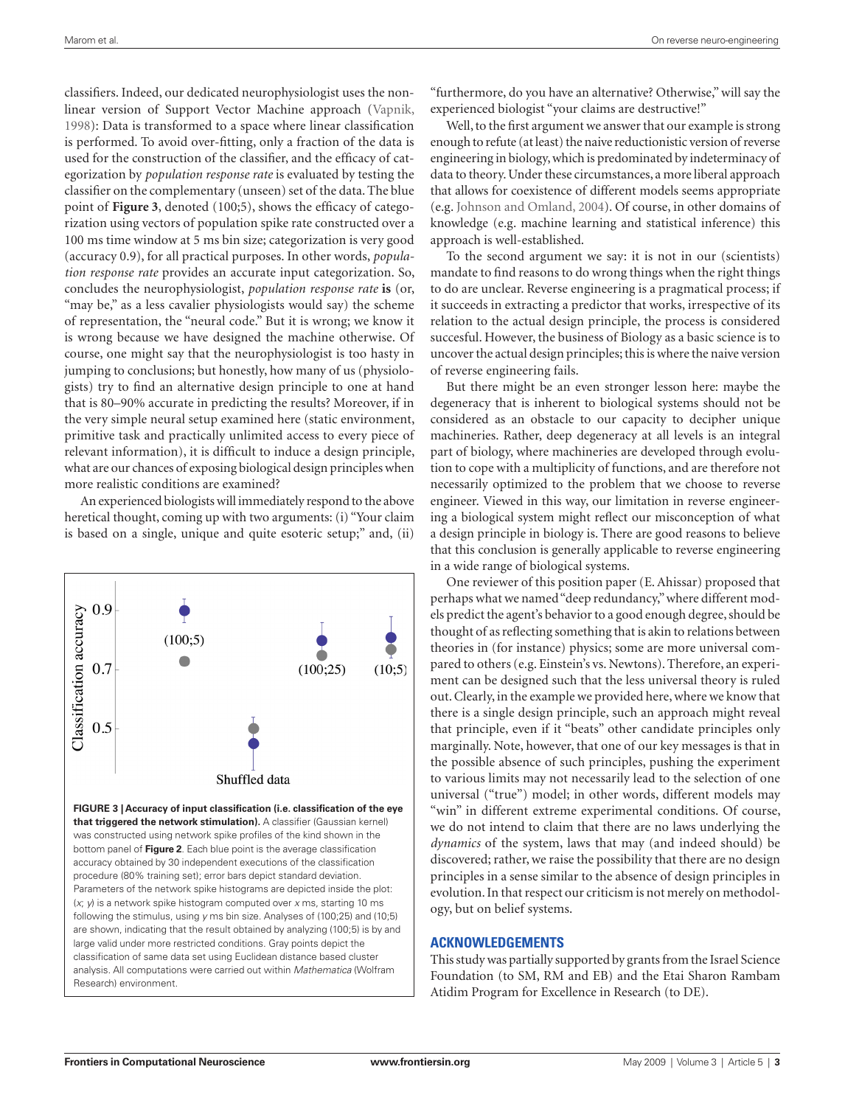classifiers. Indeed, our dedicated neurophysiologist uses the nonlinear version of Support Vector Machine approach (Vapnik, 1998): Data is transformed to a space where linear classification is performed. To avoid over-fitting, only a fraction of the data is used for the construction of the classifier, and the efficacy of categorization by *population response rate* is evaluated by testing the classifier on the complementary (unseen) set of the data. The blue point of Figure 3, denoted (100;5), shows the efficacy of categorization using vectors of population spike rate constructed over a 100 ms time window at 5 ms bin size; categorization is very good (accuracy 0.9), for all practical purposes. In other words, *population response rate* provides an accurate input categorization. So, concludes the neurophysiologist, *population response rate* **is** (or, "may be," as a less cavalier physiologists would say) the scheme of representation, the "neural code." But it is wrong; we know it is wrong because we have designed the machine otherwise. Of course, one might say that the neurophysiologist is too hasty in jumping to conclusions; but honestly, how many of us (physiologists) try to find an alternative design principle to one at hand that is 80–90% accurate in predicting the results? Moreover, if in the very simple neural setup examined here (static environment, primitive task and practically unlimited access to every piece of relevant information), it is difficult to induce a design principle, what are our chances of exposing biological design principles when more realistic conditions are examined?

An experienced biologists will immediately respond to the above heretical thought, coming up with two arguments: (i) "Your claim is based on a single, unique and quite esoteric setup;" and, (ii)



"furthermore, do you have an alternative? Otherwise," will say the experienced biologist "your claims are destructive!"

Well, to the first argument we answer that our example is strong enough to refute (at least) the naive reductionistic version of reverse engineering in biology, which is predominated by indeterminacy of data to theory. Under these circumstances, a more liberal approach that allows for coexistence of different models seems appropriate (e.g. Johnson and Omland, 2004). Of course, in other domains of knowledge (e.g. machine learning and statistical inference) this approach is well-established.

To the second argument we say: it is not in our (scientists) mandate to find reasons to do wrong things when the right things to do are unclear. Reverse engineering is a pragmatical process; if it succeeds in extracting a predictor that works, irrespective of its relation to the actual design principle, the process is considered succesful. However, the business of Biology as a basic science is to uncover the actual design principles; this is where the naive version of reverse engineering fails.

But there might be an even stronger lesson here: maybe the degeneracy that is inherent to biological systems should not be considered as an obstacle to our capacity to decipher unique machineries. Rather, deep degeneracy at all levels is an integral part of biology, where machineries are developed through evolution to cope with a multiplicity of functions, and are therefore not necessarily optimized to the problem that we choose to reverse engineer. Viewed in this way, our limitation in reverse engineering a biological system might reflect our misconception of what a design principle in biology is. There are good reasons to believe that this conclusion is generally applicable to reverse engineering in a wide range of biological systems.

One reviewer of this position paper (E. Ahissar) proposed that perhaps what we named "deep redundancy," where different models predict the agent's behavior to a good enough degree, should be thought of as reflecting something that is akin to relations between theories in (for instance) physics; some are more universal compared to others (e.g. Einstein's vs. Newtons). Therefore, an experiment can be designed such that the less universal theory is ruled out. Clearly, in the example we provided here, where we know that there is a single design principle, such an approach might reveal that principle, even if it "beats" other candidate principles only marginally. Note, however, that one of our key messages is that in the possible absence of such principles, pushing the experiment to various limits may not necessarily lead to the selection of one universal ("true") model; in other words, different models may "win" in different extreme experimental conditions. Of course, we do not intend to claim that there are no laws underlying the *dynamics* of the system, laws that may (and indeed should) be discovered; rather, we raise the possibility that there are no design principles in a sense similar to the absence of design principles in evolution. In that respect our criticism is not merely on methodology, but on belief systems.

## **ACKNOWLEDGEMENTS**

This study was partially supported by grants from the Israel Science Foundation (to SM, RM and EB) and the Etai Sharon Rambam Atidim Program for Excellence in Research (to DE).